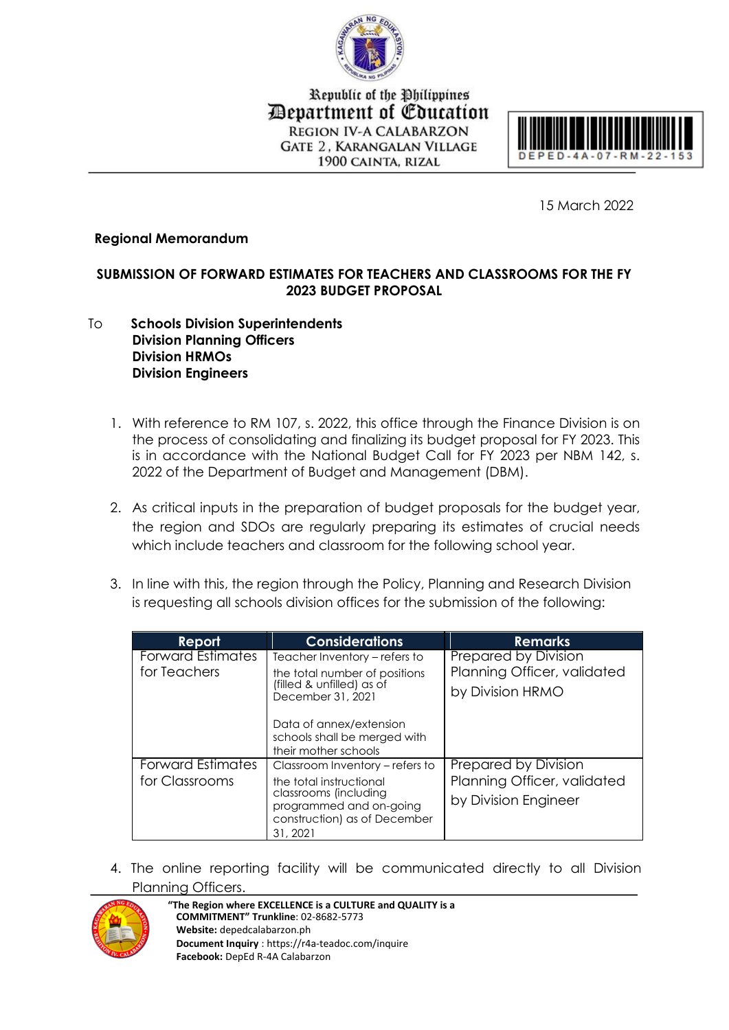

Republic of the Philippines Department of Education **REGION IV-A CALABARZON GATE 2. KARANGALAN VILLAGE** 1900 CAINTA, RIZAL



15 March 2022

## **Regional Memorandum**

## **SUBMISSION OF FORWARD ESTIMATES FOR TEACHERS AND CLASSROOMS FOR THE FY 2023 BUDGET PROPOSAL**

- To **Schools Division Superintendents Division Planning Officers Division HRMOs Division Engineers**
	- 1. With reference to RM 107, s. 2022, this office through the Finance Division is on the process of consolidating and finalizing its budget proposal for FY 2023. This is in accordance with the National Budget Call for FY 2023 per NBM 142, s. 2022 of the Department of Budget and Management (DBM).
	- 2. As critical inputs in the preparation of budget proposals for the budget year, the region and SDOs are regularly preparing its estimates of crucial needs which include teachers and classroom for the following school year.
	- 3. In line with this, the region through the Policy, Planning and Research Division is requesting all schools division offices for the submission of the following:

| Report                   | <b>Considerations</b>                                                                       | <b>Remarks</b>              |
|--------------------------|---------------------------------------------------------------------------------------------|-----------------------------|
| <b>Forward Estimates</b> | Teacher Inventory – refers to                                                               | Prepared by Division        |
| for Teachers             | the total number of positions<br>(filled & unfilled) as of<br>December 31, 2021             | Planning Officer, validated |
|                          |                                                                                             | by Division HRMO            |
|                          | Data of annex/extension<br>schools shall be merged with<br>their mother schools             |                             |
| <b>Forward Estimates</b> | Classroom Inventory – refers to                                                             | Prepared by Division        |
| for Classrooms           | the total instructional                                                                     | Planning Officer, validated |
|                          | classrooms (including<br>programmed and on-going<br>construction) as of December<br>31.2021 | by Division Engineer        |

4. The online reporting facility will be communicated directly to all Division Planning Officers.



**"The Region where EXCELLENCE is a CULTURE and QUALITY is a COMMITMENT" Trunkline**: 02-8682-5773 **Website:** depedcalabarzon.ph **Document Inquiry** : https://r4a-teadoc.com/inquire **Facebook:** DepEd R-4A Calabarzon